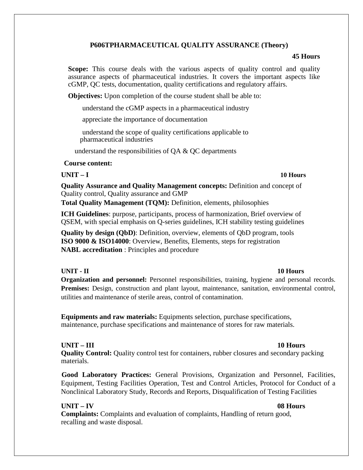## **P606TPHARMACEUTICAL QUALITY ASSURANCE (Theory)**

### **45 Hours**

**Scope:** This course deals with the various aspects of quality control and quality assurance aspects of pharmaceutical industries. It covers the important aspects like cGMP, QC tests, documentation, quality certifications and regulatory affairs.

**Objectives:** Upon completion of the course student shall be able to:

understand the cGMP aspects in a pharmaceutical industry

appreciate the importance of documentation

understand the scope of quality certifications applicable to pharmaceutical industries

understand the responsibilities of QA & QC departments

### **Course content:**

**UNIT – I 10 Hours**

**Quality Assurance and Quality Management concepts:** Definition and concept of Quality control, Quality assurance and GMP

**Total Quality Management (TQM):** Definition, elements, philosophies

**ICH Guidelines**: purpose, participants, process of harmonization, Brief overview of QSEM, with special emphasis on Q-series guidelines, ICH stability testing guidelines

**Quality by design (QbD)**: Definition, overview, elements of QbD program, tools **ISO 9000 & ISO14000**: Overview, Benefits, Elements, steps for registration **NABL accreditation** : Principles and procedure

# **UNIT - II** 10 Hours

**Organization and personnel:** Personnel responsibilities, training, hygiene and personal records. **Premises:** Design, construction and plant layout, maintenance, sanitation, environmental control, utilities and maintenance of sterile areas, control of contamination.

**Equipments and raw materials:** Equipments selection, purchase specifications, maintenance, purchase specifications and maintenance of stores for raw materials.

### **UNIT – III 10 Hours**

**Quality Control:** Quality control test for containers, rubber closures and secondary packing materials.

**Good Laboratory Practices:** General Provisions, Organization and Personnel, Facilities, Equipment, Testing Facilities Operation, Test and Control Articles, Protocol for Conduct of a Nonclinical Laboratory Study, Records and Reports, Disqualification of Testing Facilities

## **UNIT – IV 08 Hours**

**Complaints:** Complaints and evaluation of complaints, Handling of return good, recalling and waste disposal.